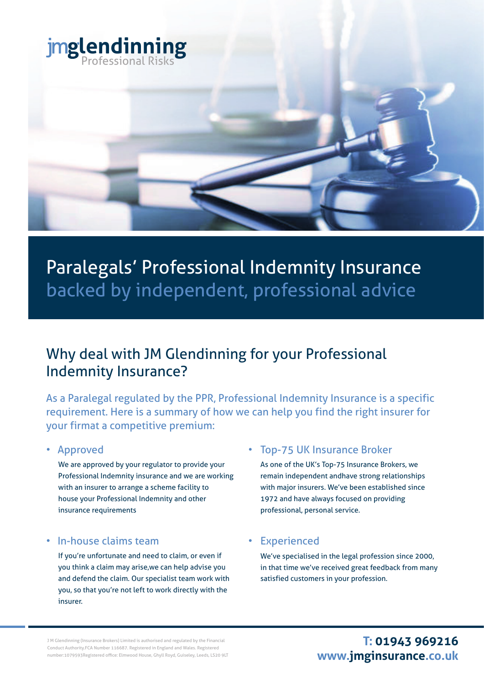

# Paralegals' Professional Indemnity Insurance backed by independent, professional advice

## Why deal with JM Glendinning for your Professional Indemnity Insurance?

As a Paralegal regulated by the PPR, Professional Indemnity Insurance is a specific requirement. Here is a summary of how we can help you find the right insurer for your firmat a competitive premium:

#### • Approved

 We are approved by your regulator to provide your Professional Indemnity insurance and we are working with an insurer to arrange a scheme facility to house your Professional Indemnity and other insurance requirements

#### • In-house claims team

 If you're unfortunate and need to claim, or even if you think a claim may arise,we can help advise you and defend the claim. Our specialist team work with you, so that you're not left to work directly with the insurer.

### • Top-75 UK Insurance Broker

As one of the UK's Top-75 Insurance Brokers, we remain independent andhave strong relationships with major insurers. We've been established since 1972 and have always focused on providing professional, personal service.

#### **Experienced**

We've specialised in the legal profession since 2000, in that time we've received great feedback from many satisfied customers in your profession.

J M Glendinning (Insurance Brokers) Limited is authorised and regulated by the Financial Conduct Authority.FCA Number 116687. Registered in England and Wales. Registered number:1079593Registered office: Elmwood House, Ghyll Royd, Guiseley, Leeds, LS20 9LT

## **T: 01943 969216 www.jmginsurance.co.uk**